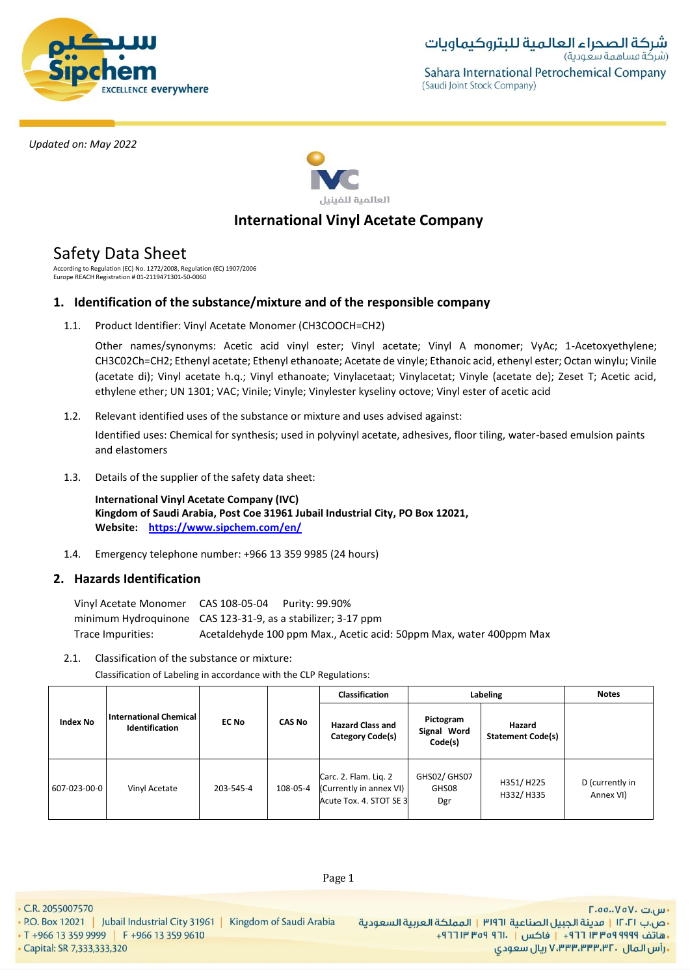



# **International Vinyl Acetate Company**

# Safety Data Sheet

According to Regulation (EC) No. 1272/2008, Regulation (EC) 1907/2006 Europe REACH Registration # 01-2119471301-50-0060

# **1. Identification of the substance/mixture and of the responsible company**

1.1. Product Identifier: Vinyl Acetate Monomer (CH3COOCH=CH2)

Other names/synonyms: Acetic acid vinyl ester; Vinyl acetate; Vinyl A monomer; VyAc; 1-Acetoxyethylene; CH3C02Ch=CH2; Ethenyl acetate; Ethenyl ethanoate; Acetate de vinyle; Ethanoic acid, ethenyl ester; Octan winylu; Vinile (acetate di); Vinyl acetate h.q.; Vinyl ethanoate; Vinylacetaat; Vinylacetat; Vinyle (acetate de); Zeset T; Acetic acid, ethylene ether; UN 1301; VAC; Vinile; Vinyle; Vinylester kyseliny octove; Vinyl ester of acetic acid

1.2. Relevant identified uses of the substance or mixture and uses advised against:

Identified uses: Chemical for synthesis; used in polyvinyl acetate, adhesives, floor tiling, water-based emulsion paints and elastomers

1.3. Details of the supplier of the safety data sheet:

**International Vinyl Acetate Company (IVC) Kingdom of Saudi Arabia, Post Coe 31961 Jubail Industrial City, PO Box 12021, Website: https://www.sipchem.com/en/**

1.4. Emergency telephone number: +966 13 359 9985 (24 hours)

# **2. Hazards Identification**

Vinyl Acetate Monomer CAS 108-05-04 Purity: 99.90% minimum Hydroquinone CAS 123-31-9, as a stabilizer; 3-17 ppm Trace Impurities: Acetaldehyde 100 ppm Max., Acetic acid: 50ppm Max, water 400ppm Max

2.1. Classification of the substance or mixture:

Classification of Labeling in accordance with the CLP Regulations:

|                 |                                                 |              |               | <b>Classification</b>                                                       |                                     | Labeling                           | <b>Notes</b>                 |
|-----------------|-------------------------------------------------|--------------|---------------|-----------------------------------------------------------------------------|-------------------------------------|------------------------------------|------------------------------|
| <b>Index No</b> | <b>International Chemical</b><br>Identification | <b>EC No</b> | <b>CAS No</b> | <b>Hazard Class and</b><br>Category Code(s)                                 | Pictogram<br>Signal Word<br>Code(s) | Hazard<br><b>Statement Code(s)</b> |                              |
| 607-023-00-0    | Vinyl Acetate                                   | 203-545-4    | 108-05-4      | Carc. 2. Flam. Lig. 2<br>(Currently in annex VI)<br>Acute Tox. 4. STOT SE 3 | GHS02/ GHS07<br>GHS08<br>Dgr        | H351/H225<br>H332/H335             | D (currently in<br>Annex VI) |

Page 1

• C.R. 2055007570

- P.O. Box 12021 | Jubail Industrial City 31961 | Kingdom of Saudi Arabia
- T +966 13 359 9999 | F +966 13 359 9610 • Capital: SR 7,333,333,320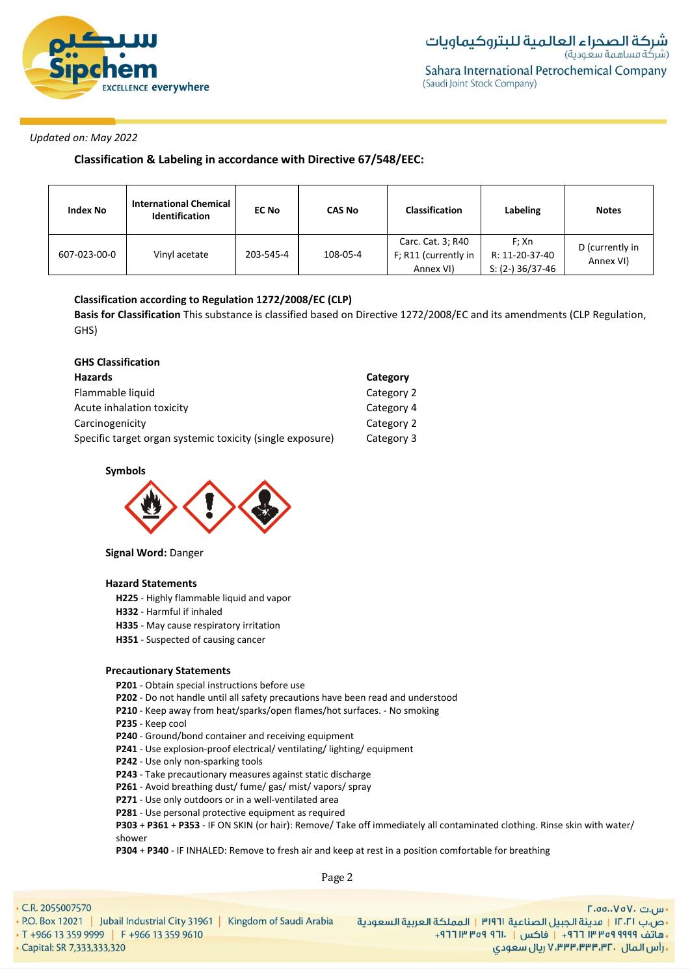

**Classification & Labeling in accordance with Directive 67/548/EEC:**

| <b>Index No</b> | <b>International Chemical</b><br><b>EC No</b><br><b>Identification</b> |           | <b>CAS No</b> | <b>Classification</b> | Labeling           | <b>Notes</b>                 |  |
|-----------------|------------------------------------------------------------------------|-----------|---------------|-----------------------|--------------------|------------------------------|--|
|                 | Vinyl acetate                                                          | 203-545-4 | 108-05-4      | Carc. Cat. 3; R40     | F: Xn              | D (currently in<br>Annex VI) |  |
| 607-023-00-0    |                                                                        |           |               | F; R11 (currently in  | R: 11-20-37-40     |                              |  |
|                 |                                                                        |           |               | Annex VI)             | $S: (2-) 36/37-46$ |                              |  |

# **Classification according to Regulation 1272/2008/EC (CLP)**

**Basis for Classification** This substance is classified based on Directive 1272/2008/EC and its amendments (CLP Regulation, GHS)

| <b>GHS Classification</b>                                 |            |
|-----------------------------------------------------------|------------|
| Hazards                                                   | Category   |
| Flammable liquid                                          | Category 2 |
| Acute inhalation toxicity                                 | Category 4 |
| Carcinogenicity                                           | Category 2 |
| Specific target organ systemic toxicity (single exposure) | Category 3 |

**Symbols**



**Signal Word:** Danger

### **Hazard Statements**

- **H225**  Highly flammable liquid and vapor
- **H332** Harmful if inhaled
- **H335**  May cause respiratory irritation
- **H351** Suspected of causing cancer

### **Precautionary Statements**

- **P201** Obtain special instructions before use
- **P202** Do not handle until all safety precautions have been read and understood
- **P210** Keep away from heat/sparks/open flames/hot surfaces. No smoking
- **P235** Keep cool
- **P240** Ground/bond container and receiving equipment
- **P241** Use explosion-proof electrical/ ventilating/ lighting/ equipment
- **P242** Use only non-sparking tools
- **P243** Take precautionary measures against static discharge
- **P261** Avoid breathing dust/ fume/ gas/ mist/ vapors/ spray
- **P271** Use only outdoors or in a well-ventilated area
- **P281** Use personal protective equipment as required

**P303** + **P361** + **P353** - IF ON SKIN (or hair): Remove/ Take off immediately all contaminated clothing. Rinse skin with water/ shower

**P304** + **P340** - IF INHALED: Remove to fresh air and keep at rest in a position comfortable for breathing

Page 2

• C.R. 2055007570

| 2.2055007570                                                          | $\Gamma$ .00 $\vee$ o $\vee$ . سریت                                 |
|-----------------------------------------------------------------------|---------------------------------------------------------------------|
| 0. Box 12021   Jubail Industrial City 31961   Kingdom of Saudi Arabia | •ص.ب ١٢٠٢١   مدينة الجبيل الصناعية ٣١٩٦١   المملكة العربية السعودية |
| +966 13 359 9999 F +966 13 359 9610                                   | ، هاتف ٩٩٩٩ ٩٥٩ ١٣ ٣٣٣ ١٦   فاكس   ١٦٠٠ ٩٦ ١٣ ١٣ ١٣ +               |
| pital: SR 7,333,333,320                                               | ، رأس الـمال ، ۷٬۳۳۳٬۳۳۳٬۳۲ ریال سعودی                              |

· Capital: SR 7,333,333,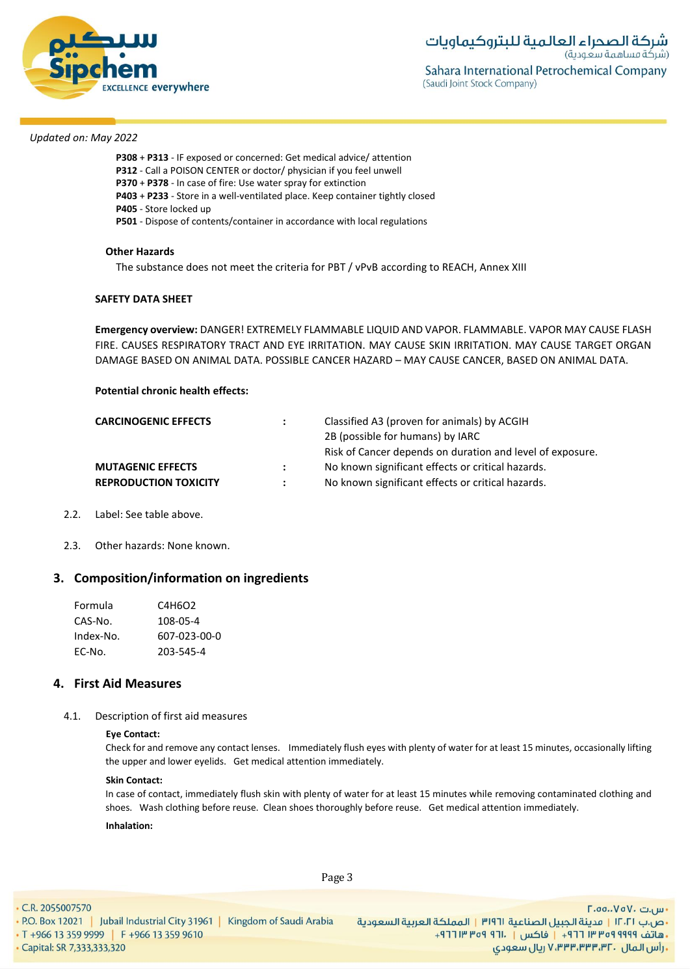

- **P308** + **P313** IF exposed or concerned: Get medical advice/ attention
- **P312** Call a POISON CENTER or doctor/ physician if you feel unwell
- **P370** + **P378** In case of fire: Use water spray for extinction
- **P403** + **P233** Store in a well-ventilated place. Keep container tightly closed
- **P405** Store locked up
- **P501** Dispose of contents/container in accordance with local regulations

### **Other Hazards**

The substance does not meet the criteria for PBT / vPvB according to REACH, Annex XIII

# **SAFETY DATA SHEET**

**Emergency overview:** DANGER! EXTREMELY FLAMMABLE LIQUID AND VAPOR. FLAMMABLE. VAPOR MAY CAUSE FLASH FIRE. CAUSES RESPIRATORY TRACT AND EYE IRRITATION. MAY CAUSE SKIN IRRITATION. MAY CAUSE TARGET ORGAN DAMAGE BASED ON ANIMAL DATA. POSSIBLE CANCER HAZARD – MAY CAUSE CANCER, BASED ON ANIMAL DATA.

# **Potential chronic health effects:**

| $\ddot{\phantom{a}}$ | Classified A3 (proven for animals) by ACGIH               |
|----------------------|-----------------------------------------------------------|
|                      | 2B (possible for humans) by IARC                          |
|                      | Risk of Cancer depends on duration and level of exposure. |
| $\mathbf{L}$         | No known significant effects or critical hazards.         |
| $\mathbf{r}$         | No known significant effects or critical hazards.         |
|                      |                                                           |

- 2.2. Label: See table above.
- 2.3. Other hazards: None known.

# **3. Composition/information on ingredients**

| Formula   | C4H6O2       |
|-----------|--------------|
| CAS-No.   | 108-05-4     |
| Index-No. | 607-023-00-0 |
| EC-No.    | 203-545-4    |

# **4. First Aid Measures**

4.1. Description of first aid measures

### **Eye Contact:**

Check for and remove any contact lenses. Immediately flush eyes with plenty of water for at least 15 minutes, occasionally lifting the upper and lower eyelids. Get medical attention immediately.

#### **Skin Contact:**

In case of contact, immediately flush skin with plenty of water for at least 15 minutes while removing contaminated clothing and shoes. Wash clothing before reuse. Clean shoes thoroughly before reuse. Get medical attention immediately.

#### **Inhalation:**

• C.R. 2055007570

Page 3

- ص.ب IT، السعردية الجبيل الصناعية 1911 | المملكة العربية السعودية | 1961 P.O. Box 12021 | Jubail Industrial City 31961 | Kingdom of Saudi Arabia<br>- هاتف 1999 Pre 13 359 9999 | F +966 13 359 9610 . [19] Tre of 911. [19] 19 · Capital: SR 7,333,333,320

- س.ت ۷۵۷۰، ۲.۵۵.۰۷۵ ريال سعودي, ۷٬۳۳۳٬۳۳۳٬۳۲۰ ريال سعودي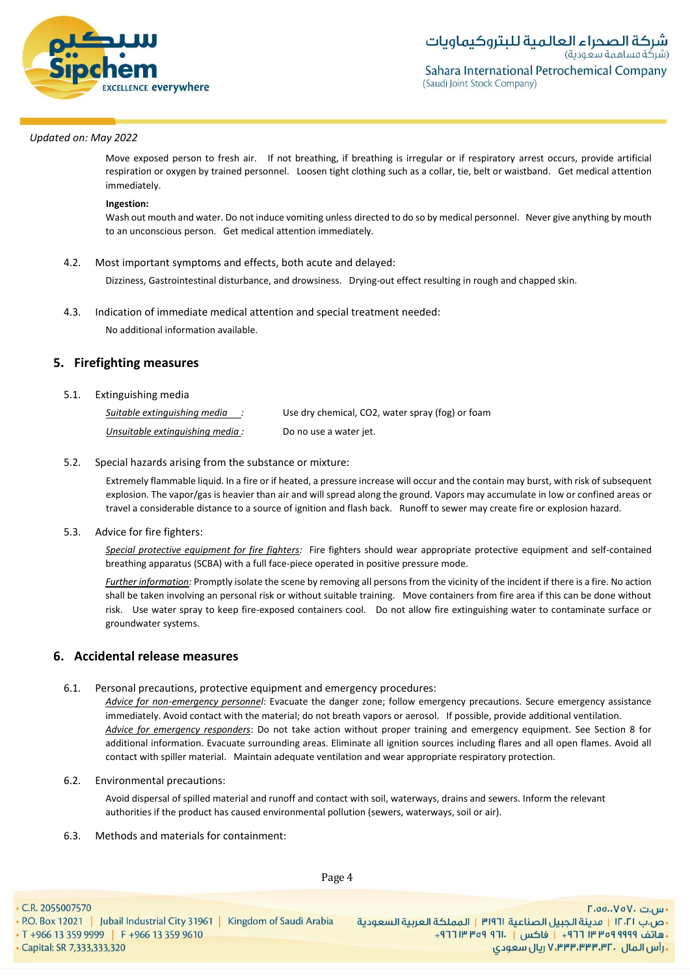

Move exposed person to fresh air. If not breathing, if breathing is irregular or if respiratory arrest occurs, provide artificial respiration or oxygen by trained personnel. Loosen tight clothing such as a collar, tie, belt or waistband. Get medical attention immediately.

#### **Ingestion:**

Wash out mouth and water. Do not induce vomiting unless directed to do so by medical personnel. Never give anything by mouth to an unconscious person. Get medical attention immediately.

### 4.2. Most important symptoms and effects, both acute and delayed:

Dizziness, Gastrointestinal disturbance, and drowsiness. Drying-out effect resulting in rough and chapped skin.

### 4.3. Indication of immediate medical attention and special treatment needed:

No additional information available.

# **5. Firefighting measures**

### 5.1. Extinguishing media

| Suitable extinguishing media    | Use dry chemical, CO2, water spray (fog) or foam |
|---------------------------------|--------------------------------------------------|
| Unsuitable extinguishing media: | Do no use a water jet.                           |

### 5.2. Special hazards arising from the substance or mixture:

Extremely flammable liquid. In a fire or if heated, a pressure increase will occur and the contain may burst, with risk of subsequent explosion. The vapor/gas is heavier than air and will spread along the ground. Vapors may accumulate in low or confined areas or travel a considerable distance to a source of ignition and flash back. Runoff to sewer may create fire or explosion hazard.

# 5.3. Advice for fire fighters:

*Special protective equipment for fire fighters:* Fire fighters should wear appropriate protective equipment and self-contained breathing apparatus (SCBA) with a full face-piece operated in positive pressure mode.

*Further information:* Promptly isolate the scene by removing all persons from the vicinity of the incident if there is a fire. No action shall be taken involving an personal risk or without suitable training. Move containers from fire area if this can be done without risk. Use water spray to keep fire-exposed containers cool. Do not allow fire extinguishing water to contaminate surface or groundwater systems.

# **6. Accidental release measures**

# 6.1. Personal precautions, protective equipment and emergency procedures:

*Advice for non-emergency personnel*: Evacuate the danger zone; follow emergency precautions. Secure emergency assistance immediately. Avoid contact with the material; do not breath vapors or aerosol. If possible, provide additional ventilation. *Advice for emergency responders*: Do not take action without proper training and emergency equipment. See Section 8 for additional information. Evacuate surrounding areas. Eliminate all ignition sources including flares and all open flames. Avoid all contact with spiller material. Maintain adequate ventilation and wear appropriate respiratory protection.

6.2. Environmental precautions:

Avoid dispersal of spilled material and runoff and contact with soil, waterways, drains and sewers. Inform the relevant authorities if the product has caused environmental pollution (sewers, waterways, soil or air).

6.3. Methods and materials for containment:

Page 4

• C.R. 2055007570 - ص.ب IT، السعردية الجبيل الصناعية 1911 | المملكة العربية السعودية | 1961 P.O. Box 12021 | Jubail Industrial City 31961 | Kingdom of Saudi Arabia<br>- هاتف 1999 Pre 13 359 9999 | F +966 13 359 9610 . [19] Tre of 911. [19] 19 · Capital: SR 7,333,333,320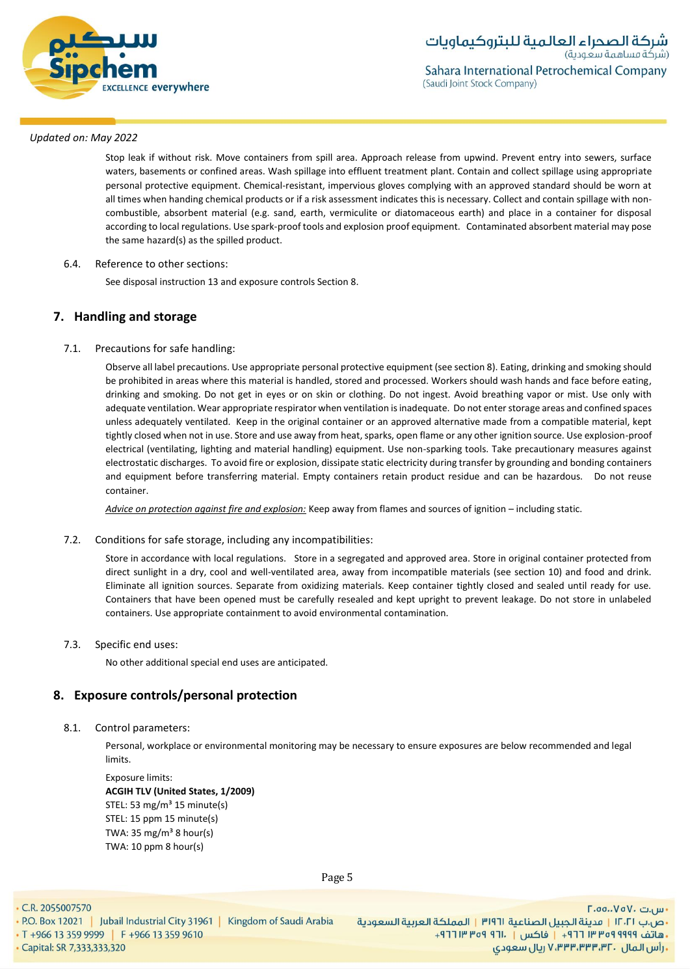

Stop leak if without risk. Move containers from spill area. Approach release from upwind. Prevent entry into sewers, surface waters, basements or confined areas. Wash spillage into effluent treatment plant. Contain and collect spillage using appropriate personal protective equipment. Chemical-resistant, impervious gloves complying with an approved standard should be worn at all times when handing chemical products or if a risk assessment indicates this is necessary. Collect and contain spillage with noncombustible, absorbent material (e.g. sand, earth, vermiculite or diatomaceous earth) and place in a container for disposal according to local regulations. Use spark-proof tools and explosion proof equipment. Contaminated absorbent material may pose the same hazard(s) as the spilled product.

# 6.4. Reference to other sections:

See disposal instruction 13 and exposure controls Section 8.

# **7. Handling and storage**

# 7.1. Precautions for safe handling:

Observe all label precautions. Use appropriate personal protective equipment (see section 8). Eating, drinking and smoking should be prohibited in areas where this material is handled, stored and processed. Workers should wash hands and face before eating, drinking and smoking. Do not get in eyes or on skin or clothing. Do not ingest. Avoid breathing vapor or mist. Use only with adequate ventilation. Wear appropriate respirator when ventilation is inadequate. Do not enter storage areas and confined spaces unless adequately ventilated. Keep in the original container or an approved alternative made from a compatible material, kept tightly closed when not in use. Store and use away from heat, sparks, open flame or any other ignition source. Use explosion-proof electrical (ventilating, lighting and material handling) equipment. Use non-sparking tools. Take precautionary measures against electrostatic discharges. To avoid fire or explosion, dissipate static electricity during transfer by grounding and bonding containers and equipment before transferring material. Empty containers retain product residue and can be hazardous. Do not reuse container.

*Advice on protection against fire and explosion:* Keep away from flames and sources of ignition – including static.

### 7.2. Conditions for safe storage, including any incompatibilities:

Store in accordance with local regulations. Store in a segregated and approved area. Store in original container protected from direct sunlight in a dry, cool and well-ventilated area, away from incompatible materials (see section 10) and food and drink. Eliminate all ignition sources. Separate from oxidizing materials. Keep container tightly closed and sealed until ready for use. Containers that have been opened must be carefully resealed and kept upright to prevent leakage. Do not store in unlabeled containers. Use appropriate containment to avoid environmental contamination.

# 7.3. Specific end uses:

No other additional special end uses are anticipated.

# **8. Exposure controls/personal protection**

# 8.1. Control parameters:

Personal, workplace or environmental monitoring may be necessary to ensure exposures are below recommended and legal limits.

Exposure limits: **ACGIH TLV (United States, 1/2009)** STEL: 53 mg/m<sup>3</sup> 15 minute(s) STEL: 15 ppm 15 minute(s) TWA: 35 mg/ $m<sup>3</sup>$  8 hour(s) TWA: 10 ppm 8 hour(s)

Page 5

• C.R. 2055007570

- ص.ب IT، السعردية الجبيل الصناعية 1911 | المملكة العربية السعودية | 1961 P.O. Box 12021 | Jubail Industrial City 31961 | Kingdom of Saudi Arabia<br>- هاتف 1999 Pre 13 359 9999 | F +966 13 359 9610 . [19] Tre of 911. [19] 19

• Capital: SR 7,333,333,320

اس.ت ۷۵۷۰-۲.٥٥ **, رأس المال ۷٬۳۳۳٬۳۳۳٬۳۲۰ ریال سعودی**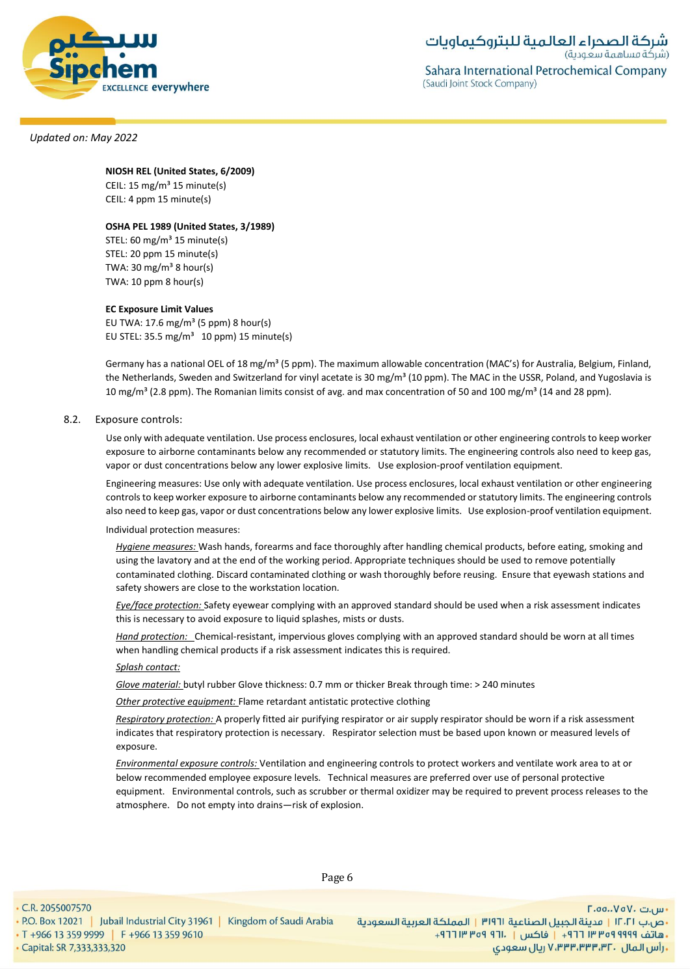

# **NIOSH REL (United States, 6/2009)**

CEIL:  $15 \text{ mg/m}^3$  15 minute(s) CEIL: 4 ppm 15 minute(s)

### **OSHA PEL 1989 (United States, 3/1989)**

STEL:  $60 \text{ mg/m}^3$  15 minute(s) STEL: 20 ppm 15 minute(s) TWA: 30 mg/m $38$  hour(s) TWA: 10 ppm 8 hour(s)

#### **EC Exposure Limit Values**

EU TWA:  $17.6$  mg/m<sup>3</sup> (5 ppm) 8 hour(s) EU STEL: 35.5 mg/m<sup>3</sup> 10 ppm) 15 minute(s)

Germany has a national OEL of 18 mg/m<sup>3</sup> (5 ppm). The maximum allowable concentration (MAC's) for Australia, Belgium, Finland, the Netherlands, Sweden and Switzerland for vinyl acetate is 30 mg/m<sup>3</sup> (10 ppm). The MAC in the USSR, Poland, and Yugoslavia is 10 mg/m<sup>3</sup> (2.8 ppm). The Romanian limits consist of avg. and max concentration of 50 and 100 mg/m<sup>3</sup> (14 and 28 ppm).

### 8.2. Exposure controls:

Use only with adequate ventilation. Use process enclosures, local exhaust ventilation or other engineering controls to keep worker exposure to airborne contaminants below any recommended or statutory limits. The engineering controls also need to keep gas, vapor or dust concentrations below any lower explosive limits. Use explosion-proof ventilation equipment.

Engineering measures: Use only with adequate ventilation. Use process enclosures, local exhaust ventilation or other engineering controls to keep worker exposure to airborne contaminants below any recommended or statutory limits. The engineering controls also need to keep gas, vapor or dust concentrations below any lower explosive limits. Use explosion-proof ventilation equipment.

Individual protection measures:

*Hygiene measures:* Wash hands, forearms and face thoroughly after handling chemical products, before eating, smoking and using the lavatory and at the end of the working period. Appropriate techniques should be used to remove potentially contaminated clothing. Discard contaminated clothing or wash thoroughly before reusing. Ensure that eyewash stations and safety showers are close to the workstation location*.*

*Eye/face protection:* Safety eyewear complying with an approved standard should be used when a risk assessment indicates this is necessary to avoid exposure to liquid splashes, mists or dusts.

*Hand protection:* Chemical-resistant, impervious gloves complying with an approved standard should be worn at all times when handling chemical products if a risk assessment indicates this is required.

### *Splash contact:*

*Glove material:* butyl rubber Glove thickness: 0.7 mm or thicker Break through time: > 240 minutes

*Other protective equipment:* Flame retardant antistatic protective clothing

*Respiratory protection:* A properly fitted air purifying respirator or air supply respirator should be worn if a risk assessment indicates that respiratory protection is necessary. Respirator selection must be based upon known or measured levels of exposure.

*Environmental exposure controls:* Ventilation and engineering controls to protect workers and ventilate work area to at or below recommended employee exposure levels. Technical measures are preferred over use of personal protective equipment. Environmental controls, such as scrubber or thermal oxidizer may be required to prevent process releases to the atmosphere. Do not empty into drains—risk of explosion.

• C.R. 2055007570

Page 6

• Capital: SR 7,333,333,320

 $\Gamma$ .00.. $V$ o $V$ . سى - ص.ب IT، السعردية الجبيل الصناعية 1911 | المملكة العربية السعودية | 1961 P.O. Box 12021 | Jubail Industrial City 31961 | Kingdom of Saudi Arabia<br>- هاتف 1999 Pre 13 359 9999 | F +966 13 359 9610 . [19] Tre of 911. [19] 19 **. رأس المال ۷٬۳۳۳٬۳۳۳٬۳۲۰ ریال سعودی**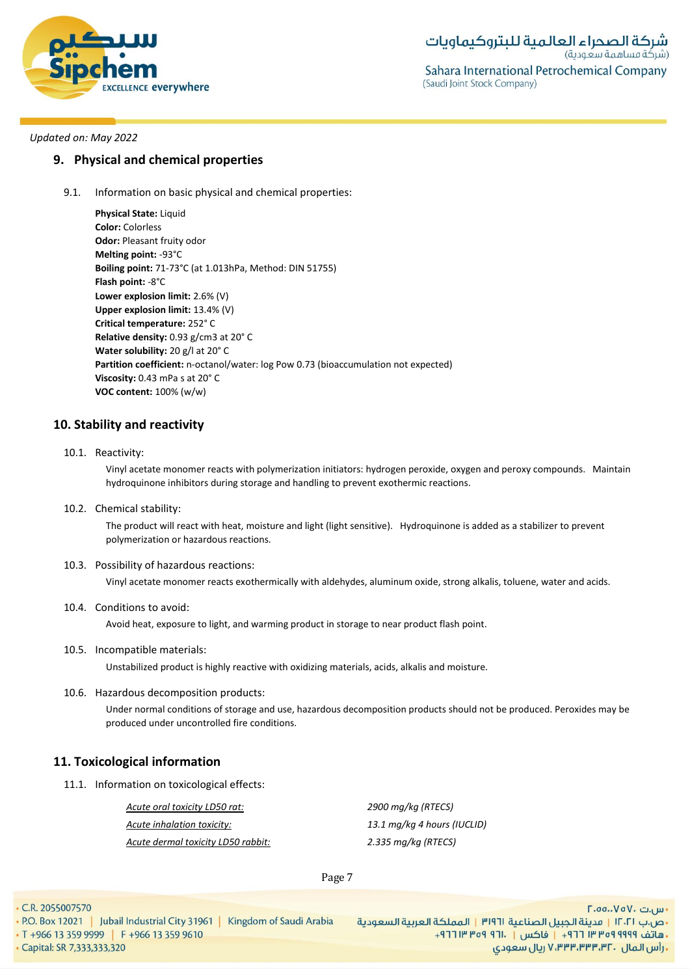

# **9. Physical and chemical properties**

9.1. Information on basic physical and chemical properties:

**Physical State:** Liquid **Color:** Colorless **Odor:** Pleasant fruity odor **Melting point:** -93°C **Boiling point:** 71-73°C (at 1.013hPa, Method: DIN 51755) **Flash point:** -8°C **Lower explosion limit:** 2.6% (V) **Upper explosion limit:** 13.4% (V) **Critical temperature:** 252° C **Relative density:** 0.93 g/cm3 at 20° C **Water solubility:** 20 g/l at 20° C **Partition coefficient:** n-octanol/water: log Pow 0.73 (bioaccumulation not expected) **Viscosity:** 0.43 mPa s at 20° C **VOC content:** 100% (w/w)

# **10. Stability and reactivity**

10.1. Reactivity:

Vinyl acetate monomer reacts with polymerization initiators: hydrogen peroxide, oxygen and peroxy compounds. Maintain hydroquinone inhibitors during storage and handling to prevent exothermic reactions.

10.2. Chemical stability:

The product will react with heat, moisture and light (light sensitive). Hydroquinone is added as a stabilizer to prevent polymerization or hazardous reactions.

10.3. Possibility of hazardous reactions:

Vinyl acetate monomer reacts exothermically with aldehydes, aluminum oxide, strong alkalis, toluene, water and acids.

10.4. Conditions to avoid:

Avoid heat, exposure to light, and warming product in storage to near product flash point.

10.5. Incompatible materials:

Unstabilized product is highly reactive with oxidizing materials, acids, alkalis and moisture.

10.6. Hazardous decomposition products:

Under normal conditions of storage and use, hazardous decomposition products should not be produced. Peroxides may be produced under uncontrolled fire conditions.

# **11. Toxicological information**

11.1. Information on toxicological effects:

*Acute oral toxicity LD50 rat: 2900 mg/kg (RTECS) Acute inhalation toxicity: 13.1 mg/kg 4 hours (IUCLID) Acute dermal toxicity LD50 rabbit: 2.335 mg/kg (RTECS)*

Page 7

· Capital: SR 7,333,333,320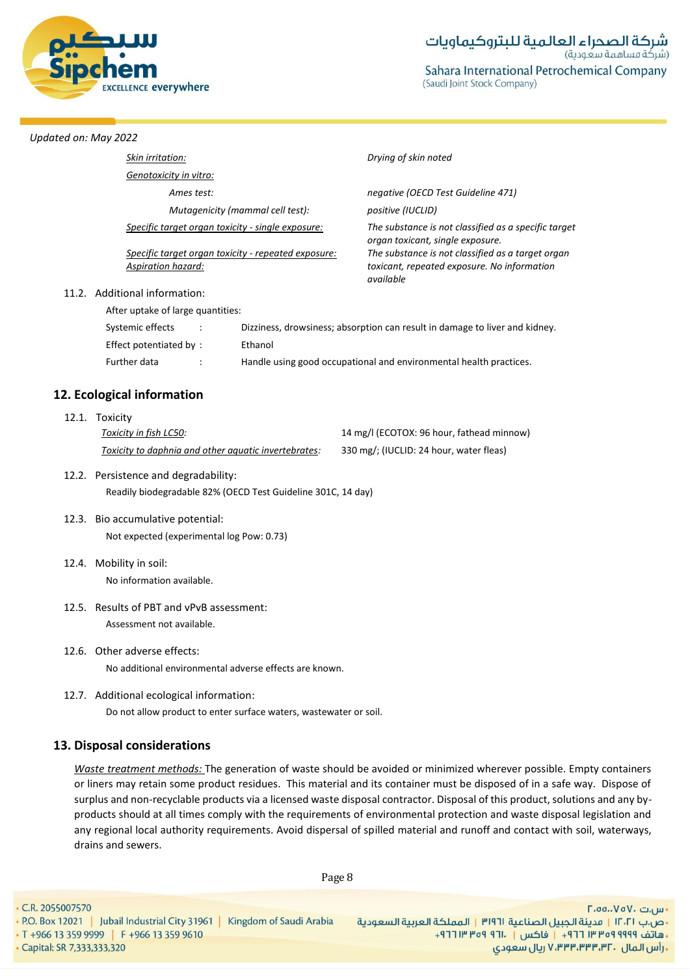

| Skin irritation:                                  |                                                     | Drying of skin noted                                                                     |  |  |  |
|---------------------------------------------------|-----------------------------------------------------|------------------------------------------------------------------------------------------|--|--|--|
| Genotoxicity in vitro:                            |                                                     |                                                                                          |  |  |  |
| Ames test:                                        |                                                     | negative (OECD Test Guideline 471)                                                       |  |  |  |
| Mutagenicity (mammal cell test):                  |                                                     | positive (IUCLID)                                                                        |  |  |  |
| Specific target organ toxicity - single exposure: |                                                     | The substance is not classified as a specific target<br>organ toxicant, single exposure. |  |  |  |
|                                                   | Specific target organ toxicity - repeated exposure: | The substance is not classified as a target organ                                        |  |  |  |
| Aspiration hazard:                                |                                                     | toxicant, repeated exposure. No information<br>available                                 |  |  |  |
| 11.2. Additional information:                     |                                                     |                                                                                          |  |  |  |
| After uptake of large quantities:                 |                                                     |                                                                                          |  |  |  |
| Systemic effects<br>$\ddot{\phantom{a}}$          |                                                     | Dizziness, drowsiness; absorption can result in damage to liver and kidney.              |  |  |  |
| Effect potentiated by:                            | Ethanol                                             |                                                                                          |  |  |  |
| Further data<br>$\ddot{\phantom{a}}$              |                                                     | Handle using good occupational and environmental health practices.                       |  |  |  |

# **12. Ecological information**

| 12.1. Toxicity                                       |                                           |
|------------------------------------------------------|-------------------------------------------|
| Toxicity in fish LC50:                               | 14 mg/l (ECOTOX: 96 hour, fathead minnow) |
| Toxicity to daphnia and other aquatic invertebrates: | 330 mg/; (IUCLID: 24 hour, water fleas)   |

- 12.2. Persistence and degradability: Readily biodegradable 82% (OECD Test Guideline 301C, 14 day)
- 12.3. Bio accumulative potential: Not expected (experimental log Pow: 0.73)
- 12.4. Mobility in soil: No information available.
- 12.5. Results of PBT and vPvB assessment: Assessment not available.
- 12.6. Other adverse effects: No additional environmental adverse effects are known.
- 12.7. Additional ecological information:

Do not allow product to enter surface waters, wastewater or soil.

# **13. Disposal considerations**

*Waste treatment methods:* The generation of waste should be avoided or minimized wherever possible. Empty containers or liners may retain some product residues. This material and its container must be disposed of in a safe way. Dispose of surplus and non-recyclable products via a licensed waste disposal contractor. Disposal of this product, solutions and any byproducts should at all times comply with the requirements of environmental protection and waste disposal legislation and any regional local authority requirements. Avoid dispersal of spilled material and runoff and contact with soil, waterways, drains and sewers.

Page 8

• C.R. 2055007570

- س.ت ۷۵۷۰، ۲.۵۵.۰۷۵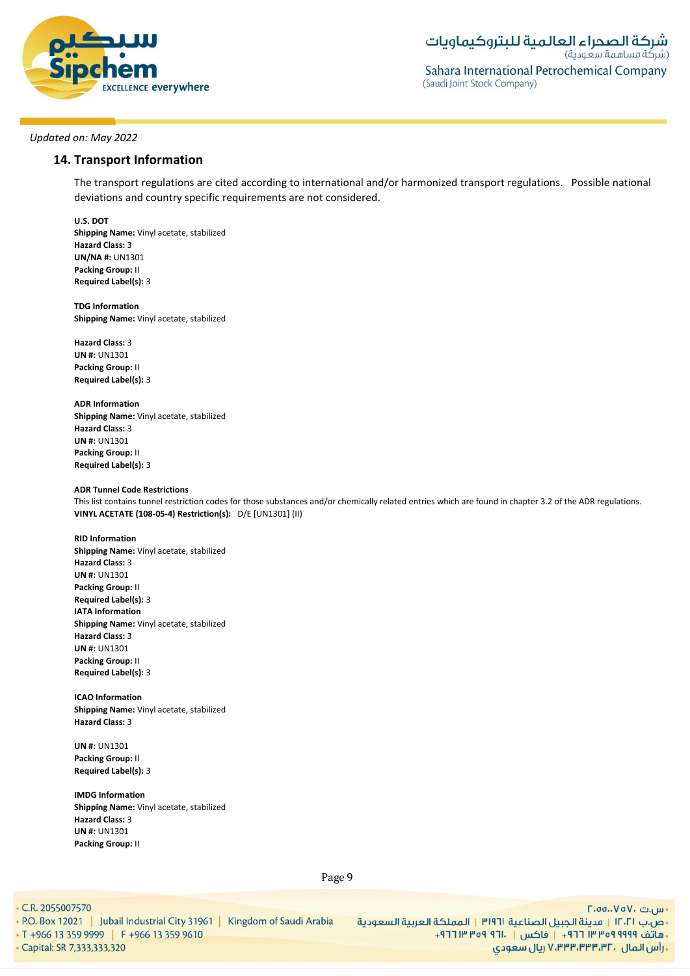

# **14. Transport Information**

The transport regulations are cited according to international and/or harmonized transport regulations. Possible national deviations and country specific requirements are not considered.

**U.S. DOT Shipping Name:** Vinyl acetate, stabilized **Hazard Class:** 3 **UN/NA #:** UN1301 **Packing Group:** II **Required Label(s):** 3

**TDG Information Shipping Name:** Vinyl acetate, stabilized

**Hazard Class:** 3 **UN #:** UN1301 **Packing Group:** II **Required Label(s):** 3

**ADR Information Shipping Name:** Vinyl acetate, stabilized **Hazard Class:** 3 **UN #:** UN1301 **Packing Group:** II **Required Label(s):** 3

#### **ADR Tunnel Code Restrictions**

This list contains tunnel restriction codes for those substances and/or chemically related entries which are found in chapter 3.2 of the ADR regulations. **VINYL ACETATE (108-05-4) Restriction(s):** D/E [UN1301] (II)

**RID Information Shipping Name:** Vinyl acetate, stabilized **Hazard Class:** 3 **UN #:** UN1301 **Packing Group:** II **Required Label(s):** 3 **IATA Information Shipping Name:** Vinyl acetate, stabilized **Hazard Class:** 3 **UN #:** UN1301 **Packing Group:** II **Required Label(s):** 3

**ICAO Information Shipping Name:** Vinyl acetate, stabilized **Hazard Class:** 3

**UN #:** UN1301 **Packing Group:** II **Required Label(s):** 3

**IMDG Information Shipping Name:** Vinyl acetate, stabilized **Hazard Class:** 3 **UN #:** UN1301 **Packing Group:** II

Page 9

• C.R. 2055007570

· Capital: SR 7,333,333,320

- س.ت ۷۵۷۰، ۲.۵۵.۰۷۵ - ص.ب IT، 1 | مدينة الجبيل الصناعية 1191 | المملكة العربية السعودية | P.O. Box 12021 | Jubail Industrial City 31961 | Kingdom of Saudi Arabia<br>- هاتف 1999 Pred 117 + | فاكس | .111 Pred 11 +966 13 359 9610 | . T +966 13 359 ريال سعودي, ۷٬۳۳۳٬۳۳۳٬۳۲۰ ريال سعودي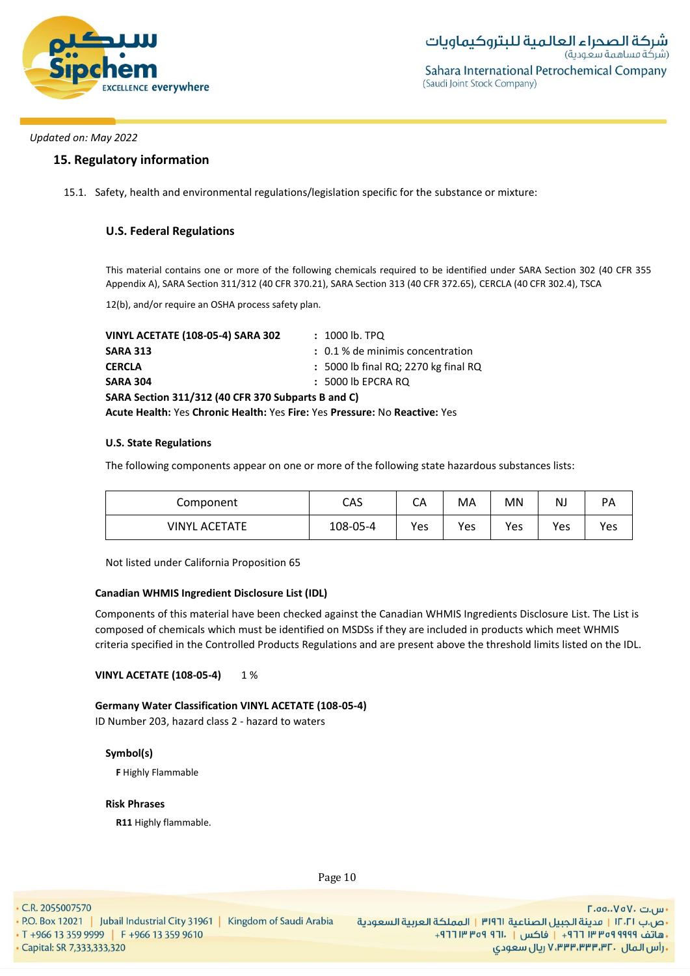

**شركة الصحراء العالمية للبتروكيماويات**<br>(شركة مساهمة سعودية) Sahara International Petrochemical Company (Saudi Joint Stock Company)

# *Updated on: May 2022*

# **15. Regulatory information**

15.1. Safety, health and environmental regulations/legislation specific for the substance or mixture:

# **U.S. Federal Regulations**

This material contains one or more of the following chemicals required to be identified under SARA Section 302 (40 CFR 355 Appendix A), SARA Section 311/312 (40 CFR 370.21), SARA Section 313 (40 CFR 372.65), CERCLA (40 CFR 302.4), TSCA

12(b), and/or require an OSHA process safety plan.

| <b>VINYL ACETATE (108-05-4) SARA 302</b>                                   | $: 1000$ lb. TPQ                     |  |  |  |  |
|----------------------------------------------------------------------------|--------------------------------------|--|--|--|--|
| <b>SARA 313</b>                                                            | : 0.1 % de minimis concentration     |  |  |  |  |
| <b>CERCLA</b>                                                              | : 5000 lb final RQ; 2270 kg final RQ |  |  |  |  |
| <b>SARA 304</b>                                                            | $: 5000$ lb EPCRA RQ                 |  |  |  |  |
| SARA Section 311/312 (40 CFR 370 Subparts B and C)                         |                                      |  |  |  |  |
| Acute Health: Yes Chronic Health: Yes Fire: Yes Pressure: No Reactive: Yes |                                      |  |  |  |  |

### **U.S. State Regulations**

The following components appear on one or more of the following state hazardous substances lists:

| Component     | CAS      | CA  | МA  | MN  | ΝI  | РA  |
|---------------|----------|-----|-----|-----|-----|-----|
| VINYL ACETATE | 108-05-4 | Yes | Yes | Yes | Yes | Yes |

Not listed under California Proposition 65

### **Canadian WHMIS Ingredient Disclosure List (IDL)**

Components of this material have been checked against the Canadian WHMIS Ingredients Disclosure List. The List is composed of chemicals which must be identified on MSDSs if they are included in products which meet WHMIS criteria specified in the Controlled Products Regulations and are present above the threshold limits listed on the IDL.

### **VINYL ACETATE (108-05-4)** 1 %

**Germany Water Classification VINYL ACETATE (108-05-4)** ID Number 203, hazard class 2 - hazard to waters

### **Symbol(s)**

**F** Highly Flammable

#### **Risk Phrases**

**R11** Highly flammable.

Page 10

• C.R. 2055007570

· Capital: SR 7,333,333,320

- س.ت ۷۵۷۰، ۲.۵۵.۰۷۵ - ص.ب IT، السعردية الجبيل الصناعية 1911 | المملكة العربية السعودية | 1961 P.O. Box 12021 | Jubail Industrial City 31961 | Kingdom of Saudi Arabia<br>- هاتف 1919 Pre 13 359 9999 | F +966 13 359 9610 . و 1964 T +966 13 359 961 . رأس المال ، ۷٬۳۳۳٬۳۳۳٬۳۲ ريال سعودي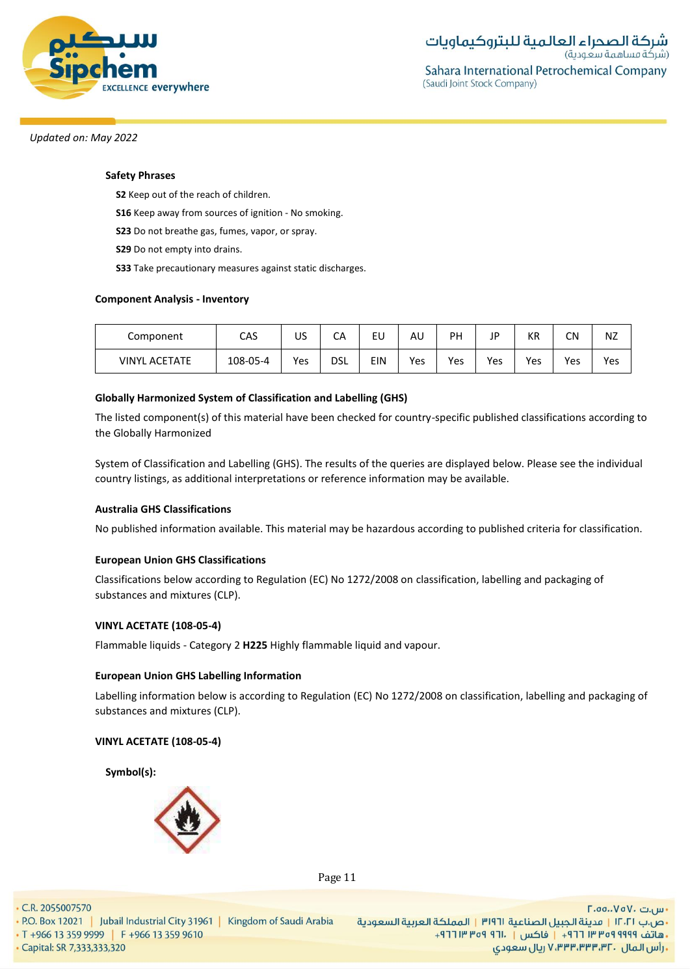

# **Safety Phrases**

**S2** Keep out of the reach of children.

**S16** Keep away from sources of ignition - No smoking.

**S23** Do not breathe gas, fumes, vapor, or spray.

**S29** Do not empty into drains.

**S33** Take precautionary measures against static discharges.

# **Component Analysis - Inventory**

| Component            | CAS      | US  | СA         | EU  | AL  | PH  | JP  | KR  | C٨  | NZ  |
|----------------------|----------|-----|------------|-----|-----|-----|-----|-----|-----|-----|
| <b>VINYL ACETATE</b> | 108-05-4 | Yes | <b>DSL</b> | EIN | Yes | Yes | Yes | Yes | Yes | Yes |

# **Globally Harmonized System of Classification and Labelling (GHS)**

The listed component(s) of this material have been checked for country-specific published classifications according to the Globally Harmonized

System of Classification and Labelling (GHS). The results of the queries are displayed below. Please see the individual country listings, as additional interpretations or reference information may be available.

### **Australia GHS Classifications**

No published information available. This material may be hazardous according to published criteria for classification.

# **European Union GHS Classifications**

Classifications below according to Regulation (EC) No 1272/2008 on classification, labelling and packaging of substances and mixtures (CLP).

# **VINYL ACETATE (108-05-4)**

Flammable liquids - Category 2 **H225** Highly flammable liquid and vapour.

### **European Union GHS Labelling Information**

Labelling information below is according to Regulation (EC) No 1272/2008 on classification, labelling and packaging of substances and mixtures (CLP).

# **VINYL ACETATE (108-05-4)**

**Symbol(s):**



Page 11

• C.R. 2055007570

· Capital: SR 7,333,333,320

- س.ت ۷۵۷۰، ۲.۵۵.۰۷۵ - ص.ب IT، السعردية الجبيل الصناعية 1911 | المملكة العربية السعودية | 1961 P.O. Box 12021 | Jubail Industrial City 31961 | Kingdom of Saudi Arabia<br>- هاتف 1919 Pre 13 359 9999 | F +966 13 359 9610 . و 1964 T +966 13 359 961 **. رأس المال ۷٬۳۳۳٬۳۳۳٬۳۲۰ ریال سعودی**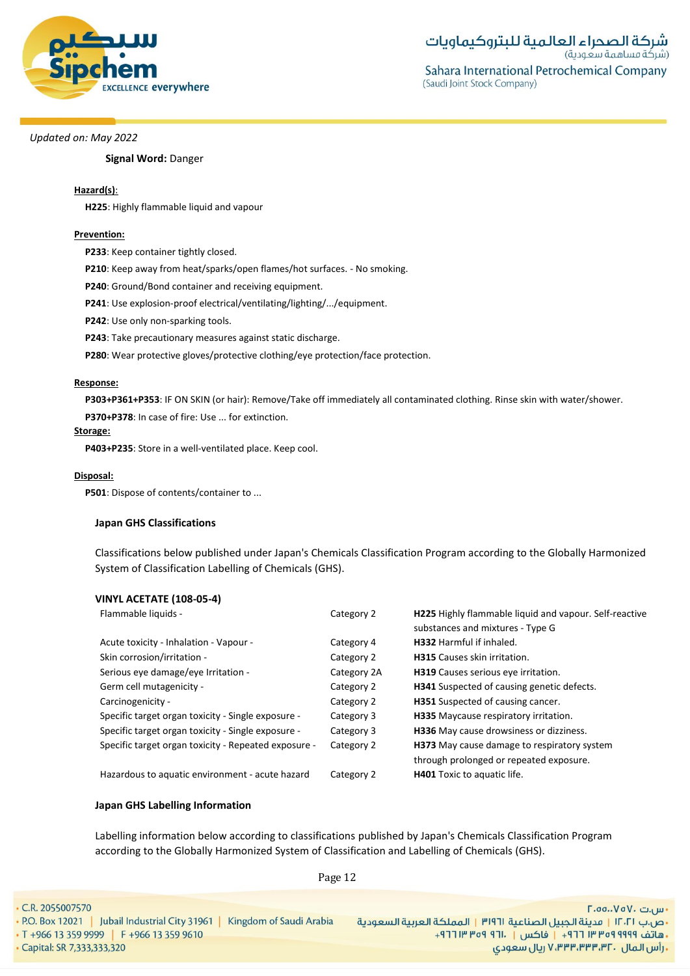

# **Signal Word:** Danger

# **Hazard(s)**:

**H225**: Highly flammable liquid and vapour

# **Prevention:**

**P233**: Keep container tightly closed.

**P210**: Keep away from heat/sparks/open flames/hot surfaces. - No smoking.

**P240**: Ground/Bond container and receiving equipment.

**P241**: Use explosion-proof electrical/ventilating/lighting/.../equipment.

**P242**: Use only non-sparking tools.

**P243**: Take precautionary measures against static discharge.

**P280**: Wear protective gloves/protective clothing/eye protection/face protection.

### **Response:**

**P303+P361+P353**: IF ON SKIN (or hair): Remove/Take off immediately all contaminated clothing. Rinse skin with water/shower.

**P370+P378**: In case of fire: Use ... for extinction.

### **Storage:**

**P403+P235**: Store in a well-ventilated place. Keep cool.

# **Disposal:**

**P501**: Dispose of contents/container to ...

# **Japan GHS Classifications**

Classifications below published under Japan's Chemicals Classification Program according to the Globally Harmonized System of Classification Labelling of Chemicals (GHS).

# **VINYL ACETATE (108-05-4)**

| Flammable liquids -                                  | Category 2  | H225 Highly flammable liquid and vapour. Self-reactive |
|------------------------------------------------------|-------------|--------------------------------------------------------|
|                                                      |             | substances and mixtures - Type G                       |
| Acute toxicity - Inhalation - Vapour -               | Category 4  | <b>H332</b> Harmful if inhaled.                        |
| Skin corrosion/irritation -                          | Category 2  | <b>H315</b> Causes skin irritation.                    |
| Serious eye damage/eye Irritation -                  | Category 2A | H319 Causes serious eye irritation.                    |
| Germ cell mutagenicity -                             | Category 2  | H341 Suspected of causing genetic defects.             |
| Carcinogenicity -                                    | Category 2  | H351 Suspected of causing cancer.                      |
| Specific target organ toxicity - Single exposure -   | Category 3  | H335 Maycause respiratory irritation.                  |
| Specific target organ toxicity - Single exposure -   | Category 3  | H336 May cause drowsiness or dizziness.                |
| Specific target organ toxicity - Repeated exposure - | Category 2  | H373 May cause damage to respiratory system            |
|                                                      |             | through prolonged or repeated exposure.                |
| Hazardous to aquatic environment - acute hazard      | Category 2  | <b>H401</b> Toxic to aquatic life.                     |

# **Japan GHS Labelling Information**

Labelling information below according to classifications published by Japan's Chemicals Classification Program according to the Globally Harmonized System of Classification and Labelling of Chemicals (GHS).

Page 12

| $\cdot$ C.R. 2055007570                                                      | $\Gamma$ .00 $V$ o $V$ . س ا                                        |
|------------------------------------------------------------------------------|---------------------------------------------------------------------|
| • P.O. Box 12021   Jubail Industrial City 31961  <br>Kingdom of Saudi Arabia | •ص.ب ١٢٠٢١   مدينة الجبيل الصناعية ٣١٩٦١   المملكة العربية السعودية |
| T +966 13 359 9999   F +966 13 359 9610                                      | ، هاتف ٩٩٩٩ ٩٩٩ ٣١٣ ٦٦٦ - إ فاكس إ - ٩٦١٠ ١٣ ١٣٩٣ ١٣ ١٦             |
| Capital: SR 7,333,333,320                                                    | ۰ رأس الـمال ۷٬۳۳۳٬۳۳۳٬۳۲۰ ریال سعودی                               |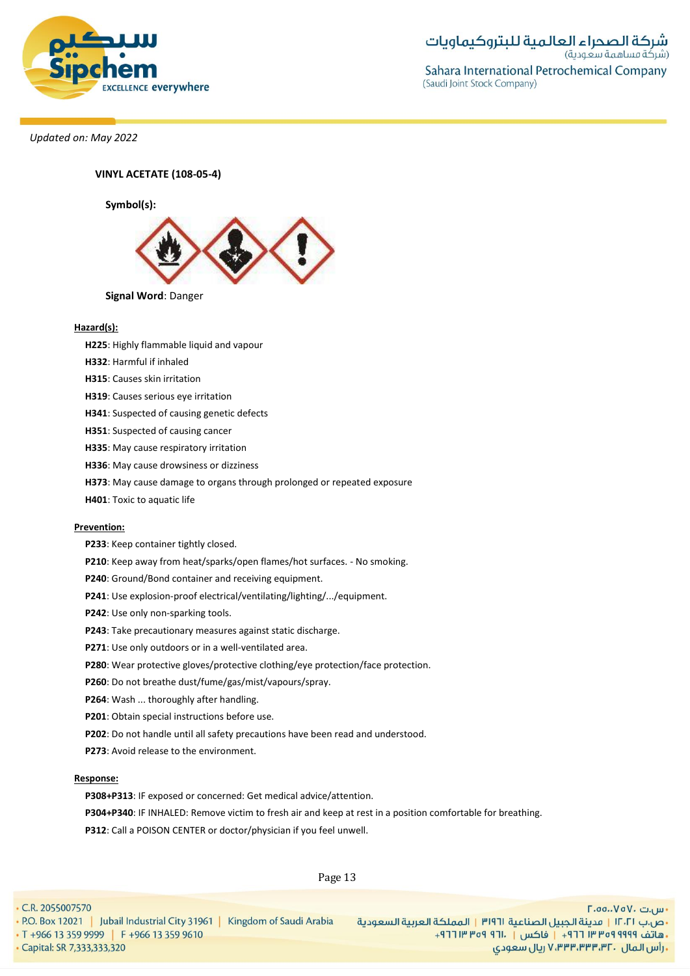

**شركة الصحراء العالمية للبتروكيماويات**<br>(شركة مساهمة سعودية) Sahara International Petrochemical Company (Saudi Joint Stock Company)

*Updated on: May 2022*

**VINYL ACETATE (108-05-4)**

**Symbol(s):**



#### **Hazard(s):**

- **H225**: Highly flammable liquid and vapour
- **H332**: Harmful if inhaled
- **H315**: Causes skin irritation
- **H319**: Causes serious eye irritation
- **H341**: Suspected of causing genetic defects
- **H351**: Suspected of causing cancer
- **H335**: May cause respiratory irritation
- **H336**: May cause drowsiness or dizziness
- **H373**: May cause damage to organs through prolonged or repeated exposure
- **H401**: Toxic to aquatic life

# **Prevention:**

- **P233**: Keep container tightly closed.
- **P210**: Keep away from heat/sparks/open flames/hot surfaces. No smoking.
- **P240**: Ground/Bond container and receiving equipment.
- **P241**: Use explosion-proof electrical/ventilating/lighting/.../equipment.
- **P242**: Use only non-sparking tools.
- **P243**: Take precautionary measures against static discharge.
- **P271**: Use only outdoors or in a well-ventilated area.
- **P280**: Wear protective gloves/protective clothing/eye protection/face protection.
- **P260**: Do not breathe dust/fume/gas/mist/vapours/spray.
- **P264**: Wash ... thoroughly after handling.
- **P201**: Obtain special instructions before use.
- **P202**: Do not handle until all safety precautions have been read and understood.
- **P273**: Avoid release to the environment.

#### **Response:**

- **P308+P313**: IF exposed or concerned: Get medical advice/attention.
- **P304+P340**: IF INHALED: Remove victim to fresh air and keep at rest in a position comfortable for breathing.
- **P312**: Call a POISON CENTER or doctor/physician if you feel unwell.

Page 13

• C.R. 2055007570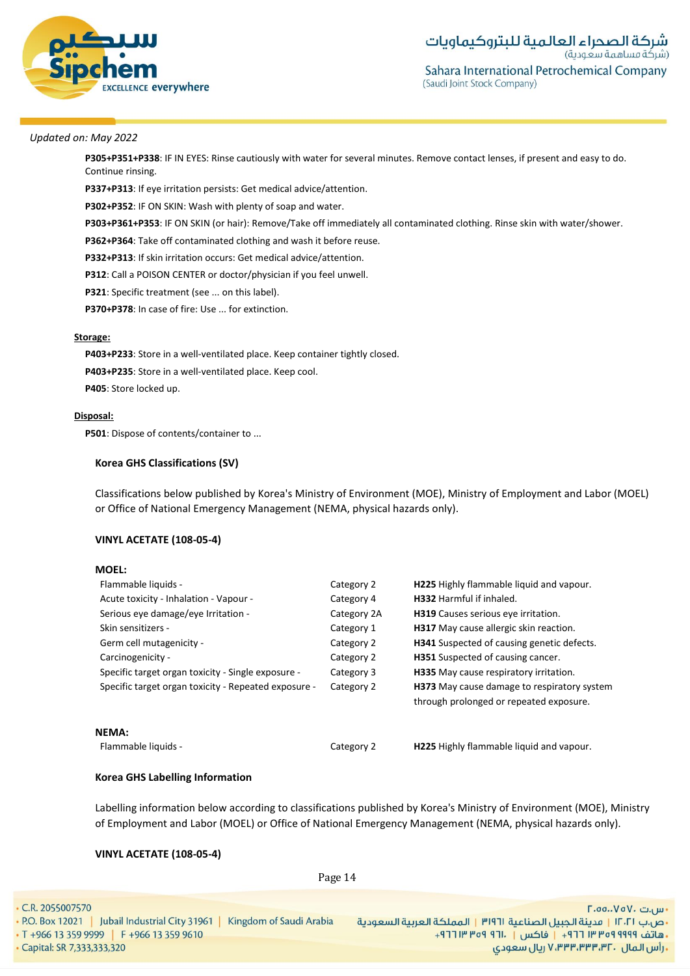

**P305+P351+P338**: IF IN EYES: Rinse cautiously with water for several minutes. Remove contact lenses, if present and easy to do. Continue rinsing.

**P337+P313**: If eye irritation persists: Get medical advice/attention.

**P302+P352**: IF ON SKIN: Wash with plenty of soap and water.

**P303+P361+P353**: IF ON SKIN (or hair): Remove/Take off immediately all contaminated clothing. Rinse skin with water/shower.

**P362+P364**: Take off contaminated clothing and wash it before reuse.

**P332+P313**: If skin irritation occurs: Get medical advice/attention.

**P312**: Call a POISON CENTER or doctor/physician if you feel unwell.

**P321**: Specific treatment (see ... on this label).

**P370+P378**: In case of fire: Use ... for extinction.

### **Storage:**

**P403+P233**: Store in a well-ventilated place. Keep container tightly closed. **P403+P235**: Store in a well-ventilated place. Keep cool. **P405**: Store locked up.

#### **Disposal:**

**MOEL:**

**P501**: Dispose of contents/container to ...

# **Korea GHS Classifications (SV)**

Classifications below published by Korea's Ministry of Environment (MOE), Ministry of Employment and Labor (MOEL) or Office of National Emergency Management (NEMA, physical hazards only).

# **VINYL ACETATE (108-05-4)**

| Flammable liquids -                                  | Category 2  | H225 Highly flammable liquid and vapour.                                                      |
|------------------------------------------------------|-------------|-----------------------------------------------------------------------------------------------|
| Acute toxicity - Inhalation - Vapour -               | Category 4  | <b>H332</b> Harmful if inhaled.                                                               |
| Serious eye damage/eye Irritation -                  | Category 2A | H319 Causes serious eye irritation.                                                           |
| Skin sensitizers -                                   | Category 1  | <b>H317</b> May cause allergic skin reaction.                                                 |
| Germ cell mutagenicity -                             | Category 2  | <b>H341</b> Suspected of causing genetic defects.                                             |
| Carcinogenicity -                                    | Category 2  | <b>H351</b> Suspected of causing cancer.                                                      |
| Specific target organ toxicity - Single exposure -   | Category 3  | H335 May cause respiratory irritation.                                                        |
| Specific target organ toxicity - Repeated exposure - | Category 2  | <b>H373</b> May cause damage to respiratory system<br>through prolonged or repeated exposure. |
| <b>NEMA:</b>                                         |             |                                                                                               |
| Flammable liquids -                                  | Category 2  | H225 Highly flammable liquid and vapour.                                                      |

### **Korea GHS Labelling Information**

Labelling information below according to classifications published by Korea's Ministry of Environment (MOE), Ministry of Employment and Labor (MOEL) or Office of National Emergency Management (NEMA, physical hazards only).

### **VINYL ACETATE (108-05-4)**

 $\cdot$  C

| R. 2055007570                                                         | $\Gamma$ .00.، $\mathsf{V}$ ٥٧، س ا                                 |
|-----------------------------------------------------------------------|---------------------------------------------------------------------|
| O. Box 12021   Jubail Industrial City 31961   Kingdom of Saudi Arabia | ·ص.ب ١٢٠٢١   مدينة الجبيل الصناعية ٣١٩٦١   المملكة العربية السعودية |
| $+966$ 13 359 9999 F +966 13 359 9610                                 | •هاتف ٩٩٩٩ ٩٩٩ ٣١ ٣٦٦ - إ فاكس   ١٦٠ ٩٥٩ ٣ ١٣ ٢٦٦ +                 |
| apital: SR 7,333,333,320                                              | ـ رأس المال ۷٬۳۳۳٬۳۳۳٬۳۲۰ ریال سعودی                                |

Page 14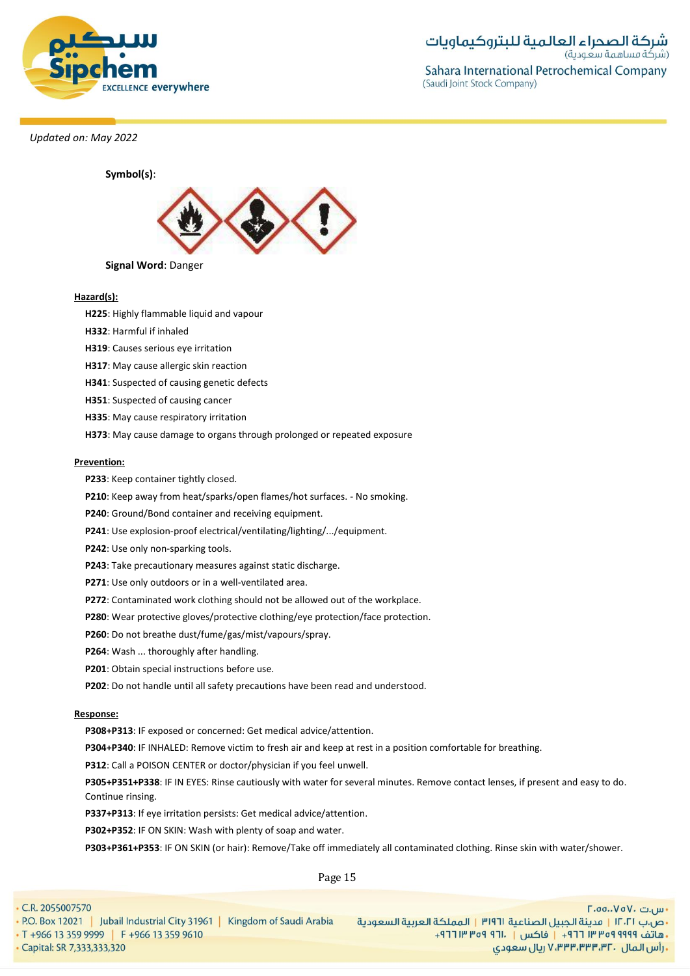



# **Hazard(s):**

**H225**: Highly flammable liquid and vapour

- **H332**: Harmful if inhaled
- **H319**: Causes serious eye irritation
- **H317**: May cause allergic skin reaction
- **H341**: Suspected of causing genetic defects
- **H351**: Suspected of causing cancer
- **H335**: May cause respiratory irritation
- **H373**: May cause damage to organs through prolonged or repeated exposure

#### **Prevention:**

- **P233**: Keep container tightly closed.
- **P210**: Keep away from heat/sparks/open flames/hot surfaces. No smoking.
- **P240**: Ground/Bond container and receiving equipment.
- **P241**: Use explosion-proof electrical/ventilating/lighting/.../equipment.
- **P242**: Use only non-sparking tools.
- **P243**: Take precautionary measures against static discharge.
- **P271**: Use only outdoors or in a well-ventilated area.
- **P272**: Contaminated work clothing should not be allowed out of the workplace.
- **P280**: Wear protective gloves/protective clothing/eye protection/face protection.
- **P260**: Do not breathe dust/fume/gas/mist/vapours/spray.
- **P264**: Wash ... thoroughly after handling.
- **P201**: Obtain special instructions before use.
- **P202**: Do not handle until all safety precautions have been read and understood.

#### **Response:**

**P308+P313**: IF exposed or concerned: Get medical advice/attention.

**P304+P340**: IF INHALED: Remove victim to fresh air and keep at rest in a position comfortable for breathing.

**P312**: Call a POISON CENTER or doctor/physician if you feel unwell.

**P305+P351+P338**: IF IN EYES: Rinse cautiously with water for several minutes. Remove contact lenses, if present and easy to do. Continue rinsing.

**P337+P313**: If eye irritation persists: Get medical advice/attention.

**P302+P352**: IF ON SKIN: Wash with plenty of soap and water.

**P303+P361+P353**: IF ON SKIN (or hair): Remove/Take off immediately all contaminated clothing. Rinse skin with water/shower.

Page 15

| $\cdot$ C.R. 2055007570                                                   | $\Gamma$ .00.، $V$ o $V$ ، سى بى                                    |
|---------------------------------------------------------------------------|---------------------------------------------------------------------|
| • P.O. Box 12021   Jubail Industrial City 31961   Kingdom of Saudi Arabia | ·ص.ب ١٢٠٢١   مدينة الجبيل الصناعية ٣١٩٦١   المملكة العربية السعودية |
| $\cdot$ T +966 13 359 9999 F +966 13 359 9610                             | ـ هاتف ٩٩٩٩ ٩٩٩٩ ٣٦٦ = ١   فاكس   . ١٦٦ ٩٥٩ ١٣ ١٦٦ +                |
| Capital: SR 7,333,333,320                                                 | ۰٫ رأس الـمال ۷٬۳۳۳٬۳۳۳٬۳۲۰ ریال سعودی                              |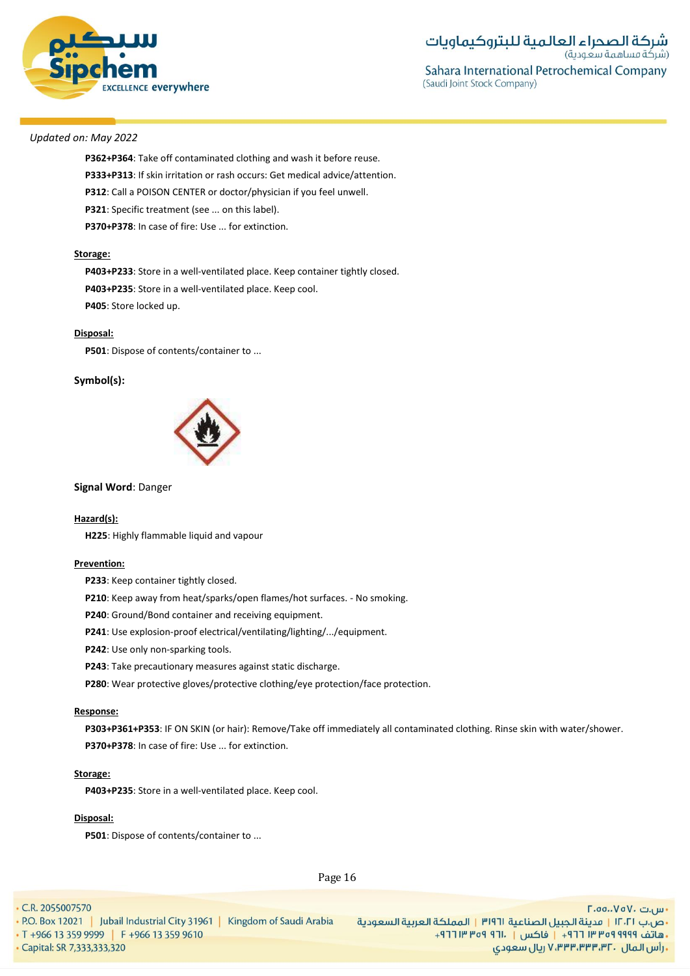

**P362+P364**: Take off contaminated clothing and wash it before reuse. **P333+P313**: If skin irritation or rash occurs: Get medical advice/attention. **P312**: Call a POISON CENTER or doctor/physician if you feel unwell. **P321**: Specific treatment (see ... on this label). **P370+P378**: In case of fire: Use ... for extinction.

#### **Storage:**

**P403+P233**: Store in a well-ventilated place. Keep container tightly closed. **P403+P235**: Store in a well-ventilated place. Keep cool. **P405**: Store locked up.

#### **Disposal:**

**P501**: Dispose of contents/container to ...

### **Symbol(s):**



#### **Signal Word**: Danger

### **Hazard(s):**

**H225**: Highly flammable liquid and vapour

# **Prevention:**

**P233**: Keep container tightly closed.

**P210**: Keep away from heat/sparks/open flames/hot surfaces. - No smoking.

**P240**: Ground/Bond container and receiving equipment.

**P241**: Use explosion-proof electrical/ventilating/lighting/.../equipment.

**P242**: Use only non-sparking tools.

**P243**: Take precautionary measures against static discharge.

**P280**: Wear protective gloves/protective clothing/eye protection/face protection.

#### **Response:**

**P303+P361+P353**: IF ON SKIN (or hair): Remove/Take off immediately all contaminated clothing. Rinse skin with water/shower. **P370+P378**: In case of fire: Use ... for extinction.

### **Storage:**

**P403+P235**: Store in a well-ventilated place. Keep cool.

#### **Disposal:**

**P501**: Dispose of contents/container to ...

Page 16

• C.R. 2055007570

· Capital: SR 7,333,333,320

- س.ت ۷۵۷۰، ۲.۵۵.۰۷۵ - ص.ب IT، 1 | مدينة الجبيل الصناعية 1911 | المملكة العربية السعودية | P.O. Box 12021 | Jubail Industrial City 31961 | Kingdom of Saudi Arabia<br>- هاتف 1919 Pre 13 359 9999 | F +966 13 359 9610 **, رأس المال ۷٬۳۳۳٬۳۳۰٬۳۲۰ ریال سعودی**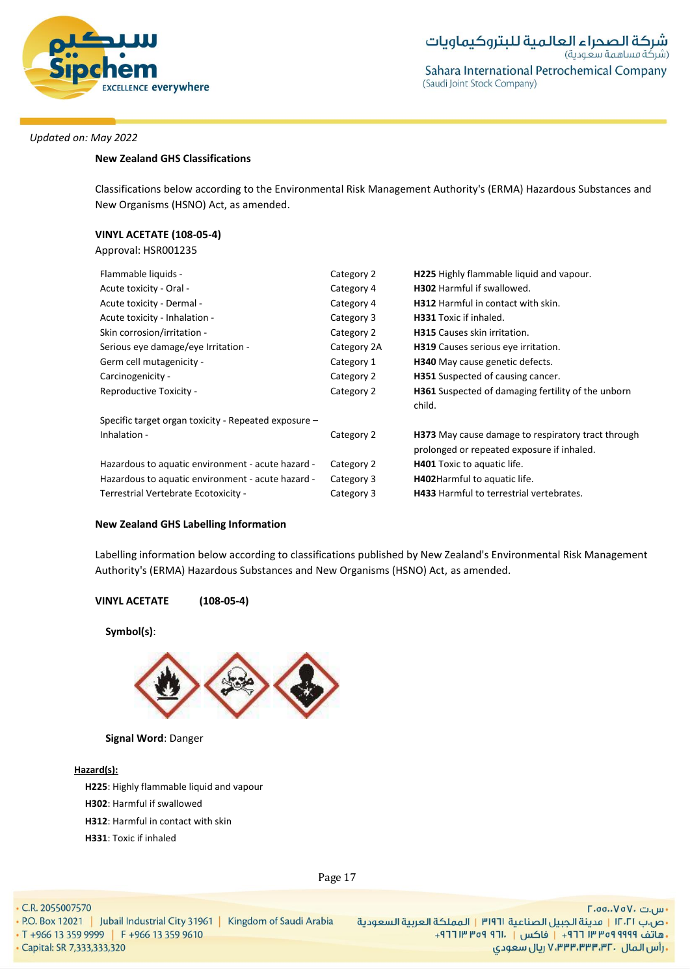

# **New Zealand GHS Classifications**

Classifications below according to the Environmental Risk Management Authority's (ERMA) Hazardous Substances and New Organisms (HSNO) Act, as amended.

# **VINYL ACETATE (108-05-4)**

Approval: HSR001235

| Flammable liquids -                                  | Category 2  | H225 Highly flammable liquid and vapour.                                                         |
|------------------------------------------------------|-------------|--------------------------------------------------------------------------------------------------|
| Acute toxicity - Oral -                              | Category 4  | <b>H302</b> Harmful if swallowed.                                                                |
| Acute toxicity - Dermal -                            | Category 4  | H312 Harmful in contact with skin.                                                               |
| Acute toxicity - Inhalation -                        | Category 3  | <b>H331</b> Toxic if inhaled.                                                                    |
| Skin corrosion/irritation -                          | Category 2  | <b>H315</b> Causes skin irritation.                                                              |
| Serious eye damage/eye Irritation -                  | Category 2A | H319 Causes serious eye irritation.                                                              |
| Germ cell mutagenicity -                             | Category 1  | <b>H340</b> May cause genetic defects.                                                           |
| Carcinogenicity -                                    | Category 2  | <b>H351</b> Suspected of causing cancer.                                                         |
| Reproductive Toxicity -                              | Category 2  | <b>H361</b> Suspected of damaging fertility of the unborn<br>child.                              |
| Specific target organ toxicity - Repeated exposure - |             |                                                                                                  |
| Inhalation -                                         | Category 2  | H373 May cause damage to respiratory tract through<br>prolonged or repeated exposure if inhaled. |
| Hazardous to aquatic environment - acute hazard -    | Category 2  | <b>H401</b> Toxic to aquatic life.                                                               |
| Hazardous to aquatic environment - acute hazard -    | Category 3  | H402Harmful to aquatic life.                                                                     |
| Terrestrial Vertebrate Ecotoxicity -                 | Category 3  | <b>H433</b> Harmful to terrestrial vertebrates.                                                  |

# **New Zealand GHS Labelling Information**

Labelling information below according to classifications published by New Zealand's Environmental Risk Management Authority's (ERMA) Hazardous Substances and New Organisms (HSNO) Act, as amended.

# **VINYL ACETATE (108-05-4)**

**Symbol(s)**:



# **Signal Word**: Danger

### **Hazard(s):**

**H225**: Highly flammable liquid and vapour

- **H302**: Harmful if swallowed
- **H312**: Harmful in contact with skin
- **H331**: Toxic if inhaled

Page 17

• C.R. 2055007570

• Capital: SR 7,333,333,320

- س.ت ۷۵۷۰، ۲.۵۵.۰۷۵ - ص.ب IT، السعادية الجبيل الصناعية 1911 | المملكة العربية السعودية | 1961 P.O. Box 12021 | Jubail Industrial City 31961 | Kingdom of Saudi Arabia<br>- هاتف 1919 Pre 1949 | F +966 13 359 9610 | F +966 13 359 9610 | واكس | T + **. رأس المال ۷٬۳۳۳٬۳۳۳٬۳۲۰ ريال سعودی**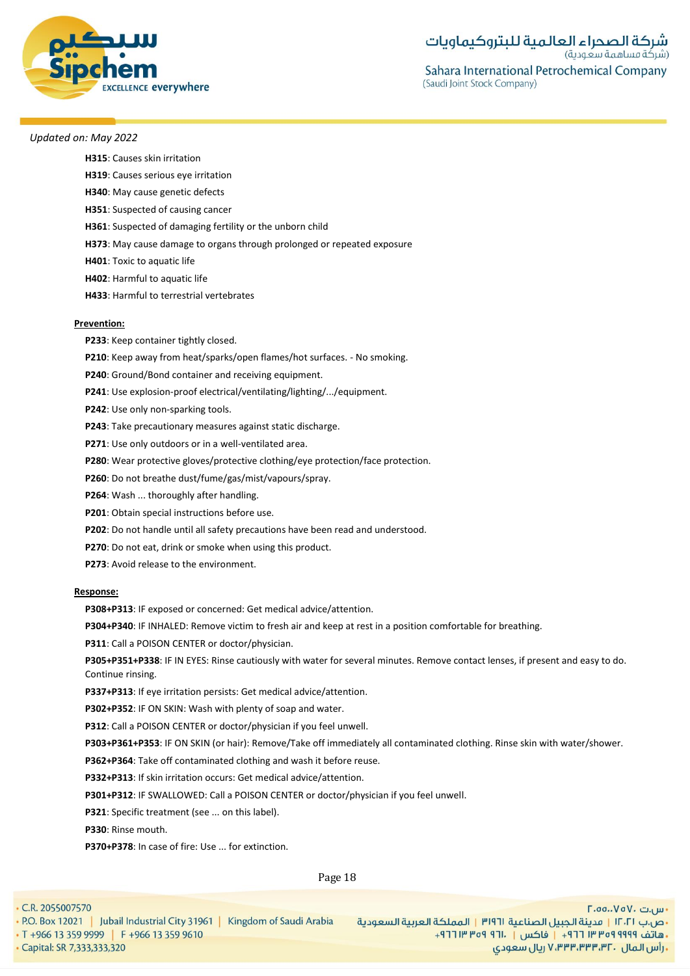

**H315**: Causes skin irritation

- **H319**: Causes serious eye irritation
- **H340**: May cause genetic defects
- **H351**: Suspected of causing cancer
- **H361**: Suspected of damaging fertility or the unborn child
- **H373**: May cause damage to organs through prolonged or repeated exposure
- **H401**: Toxic to aquatic life

**H402**: Harmful to aquatic life

**H433**: Harmful to terrestrial vertebrates

### **Prevention:**

- **P233**: Keep container tightly closed.
- **P210**: Keep away from heat/sparks/open flames/hot surfaces. No smoking.
- **P240**: Ground/Bond container and receiving equipment.
- **P241**: Use explosion-proof electrical/ventilating/lighting/.../equipment.
- **P242**: Use only non-sparking tools.
- **P243**: Take precautionary measures against static discharge.
- **P271**: Use only outdoors or in a well-ventilated area.
- **P280**: Wear protective gloves/protective clothing/eye protection/face protection.
- **P260**: Do not breathe dust/fume/gas/mist/vapours/spray.
- **P264**: Wash ... thoroughly after handling.
- **P201**: Obtain special instructions before use.
- **P202**: Do not handle until all safety precautions have been read and understood.
- **P270**: Do not eat, drink or smoke when using this product.
- **P273**: Avoid release to the environment.

#### **Response:**

**P308+P313**: IF exposed or concerned: Get medical advice/attention.

**P304+P340**: IF INHALED: Remove victim to fresh air and keep at rest in a position comfortable for breathing.

**P311**: Call a POISON CENTER or doctor/physician.

**P305+P351+P338**: IF IN EYES: Rinse cautiously with water for several minutes. Remove contact lenses, if present and easy to do. Continue rinsing.

**P337+P313**: If eye irritation persists: Get medical advice/attention.

**P302+P352**: IF ON SKIN: Wash with plenty of soap and water.

**P312**: Call a POISON CENTER or doctor/physician if you feel unwell.

**P303+P361+P353**: IF ON SKIN (or hair): Remove/Take off immediately all contaminated clothing. Rinse skin with water/shower.

**P362+P364**: Take off contaminated clothing and wash it before reuse.

**P332+P313**: If skin irritation occurs: Get medical advice/attention.

**P301+P312**: IF SWALLOWED: Call a POISON CENTER or doctor/physician if you feel unwell.

**P321**: Specific treatment (see ... on this label).

**P330**: Rinse mouth.

**P370+P378**: In case of fire: Use ... for extinction.

Page 18

• C.R. 2055007570

· Capital: SR 7,333,333,320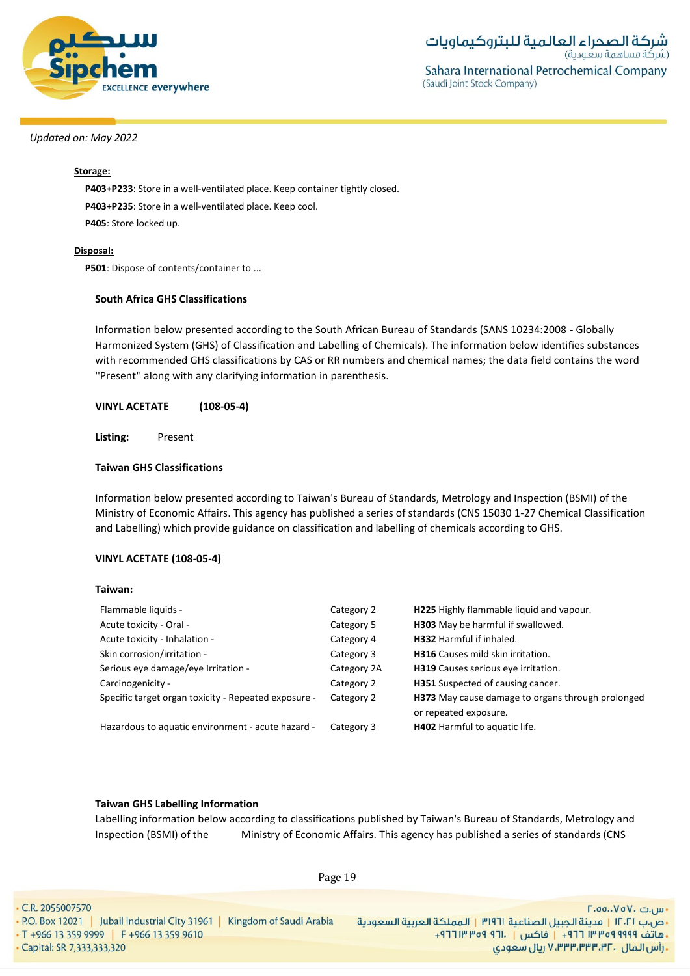

# **Storage:**

**P403+P233**: Store in a well-ventilated place. Keep container tightly closed. **P403+P235**: Store in a well-ventilated place. Keep cool. **P405**: Store locked up.

# **Disposal:**

**P501**: Dispose of contents/container to ...

# **South Africa GHS Classifications**

Information below presented according to the South African Bureau of Standards (SANS 10234:2008 - Globally Harmonized System (GHS) of Classification and Labelling of Chemicals). The information below identifies substances with recommended GHS classifications by CAS or RR numbers and chemical names; the data field contains the word ''Present'' along with any clarifying information in parenthesis.

# **VINYL ACETATE (108-05-4)**

**Listing:** Present

# **Taiwan GHS Classifications**

Information below presented according to Taiwan's Bureau of Standards, Metrology and Inspection (BSMI) of the Ministry of Economic Affairs. This agency has published a series of standards (CNS 15030 1-27 Chemical Classification and Labelling) which provide guidance on classification and labelling of chemicals according to GHS.

# **VINYL ACETATE (108-05-4)**

# **Taiwan:**

| Flammable liquids -                                  | Category 2  | H225 Highly flammable liquid and vapour.                                   |
|------------------------------------------------------|-------------|----------------------------------------------------------------------------|
| Acute toxicity - Oral -                              | Category 5  | H303 May be harmful if swallowed.                                          |
| Acute toxicity - Inhalation -                        | Category 4  | H332 Harmful if inhaled.                                                   |
| Skin corrosion/irritation -                          | Category 3  | H316 Causes mild skin irritation.                                          |
| Serious eye damage/eye Irritation -                  | Category 2A | H319 Causes serious eye irritation.                                        |
| Carcinogenicity -                                    | Category 2  | H351 Suspected of causing cancer.                                          |
| Specific target organ toxicity - Repeated exposure - | Category 2  | H373 May cause damage to organs through prolonged<br>or repeated exposure. |
| Hazardous to aquatic environment - acute hazard -    | Category 3  | H402 Harmful to aquatic life.                                              |

### **Taiwan GHS Labelling Information**

Labelling information below according to classifications published by Taiwan's Bureau of Standards, Metrology and Inspection (BSMI) of the Ministry of Economic Affairs. This agency has published a series of standards (CNS

• C.R. 2055007570 - س.ت ۷۵۷۰، ۲.۵۵.۰۷۵ - ص.ب IT، السعردية الجبيل الصناعية 1911 | المملكة العربية السعودية | 1961 P.O. Box 12021 | Jubail Industrial City 31961 | Kingdom of Saudi Arabia<br>- هاتف 1999 Pre 13 359 9999 | F +966 13 359 9610 . [19] Tre of 911. [19] 19 · Capital: SR 7,333,333,320 **. رأس المال ۷٬۳۳۳٬۳۳۳٬۳۲۰ ريال سعودی** 

Page 19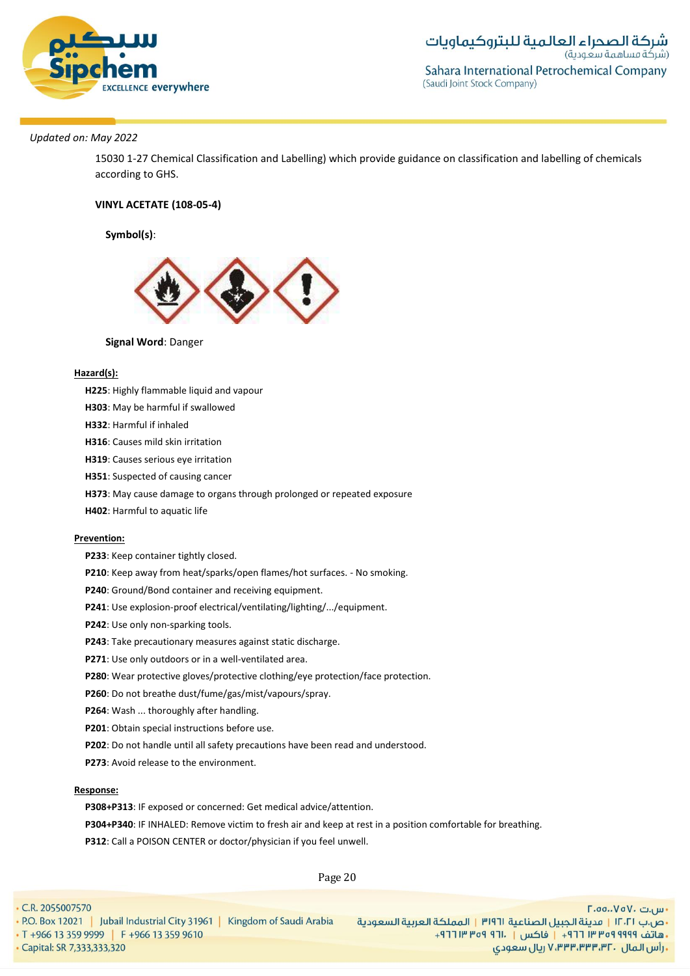

15030 1-27 Chemical Classification and Labelling) which provide guidance on classification and labelling of chemicals according to GHS.

# **VINYL ACETATE (108-05-4)**

# **Symbol(s)**:



### **Signal Word**: Danger

### **Hazard(s):**

- **H225**: Highly flammable liquid and vapour
- **H303**: May be harmful if swallowed
- **H332**: Harmful if inhaled
- **H316**: Causes mild skin irritation
- **H319**: Causes serious eye irritation
- **H351**: Suspected of causing cancer
- **H373**: May cause damage to organs through prolonged or repeated exposure
- **H402**: Harmful to aquatic life

#### **Prevention:**

- **P233**: Keep container tightly closed.
- **P210**: Keep away from heat/sparks/open flames/hot surfaces. No smoking.
- **P240**: Ground/Bond container and receiving equipment.
- **P241**: Use explosion-proof electrical/ventilating/lighting/.../equipment.
- **P242**: Use only non-sparking tools.
- **P243**: Take precautionary measures against static discharge.
- **P271**: Use only outdoors or in a well-ventilated area.
- **P280**: Wear protective gloves/protective clothing/eye protection/face protection.
- **P260**: Do not breathe dust/fume/gas/mist/vapours/spray.
- **P264**: Wash ... thoroughly after handling.
- **P201**: Obtain special instructions before use.
- **P202**: Do not handle until all safety precautions have been read and understood.
- **P273**: Avoid release to the environment.

#### **Response:**

- **P308+P313**: IF exposed or concerned: Get medical advice/attention.
- **P304+P340**: IF INHALED: Remove victim to fresh air and keep at rest in a position comfortable for breathing.
- **P312**: Call a POISON CENTER or doctor/physician if you feel unwell.

Page 20

• C.R. 2055007570 - س.ت ۷۵۷۰، ۲.۵۵.۰۷۵ - ص.ب IT، 1 | مدينة الجبيل الصناعية 1911 | المملكة العربية السعودية | P.O. Box 12021 | Jubail Industrial City 31961 | Kingdom of Saudi Arabia<br>- هاتف 1919 Pre 13 359 9999 | F +966 13 359 9610 ريال سعودي, ۷٬۳۳۳٬۳۳۳٬۳۲۰ ريال سعودي · Capital: SR 7,333,333,320